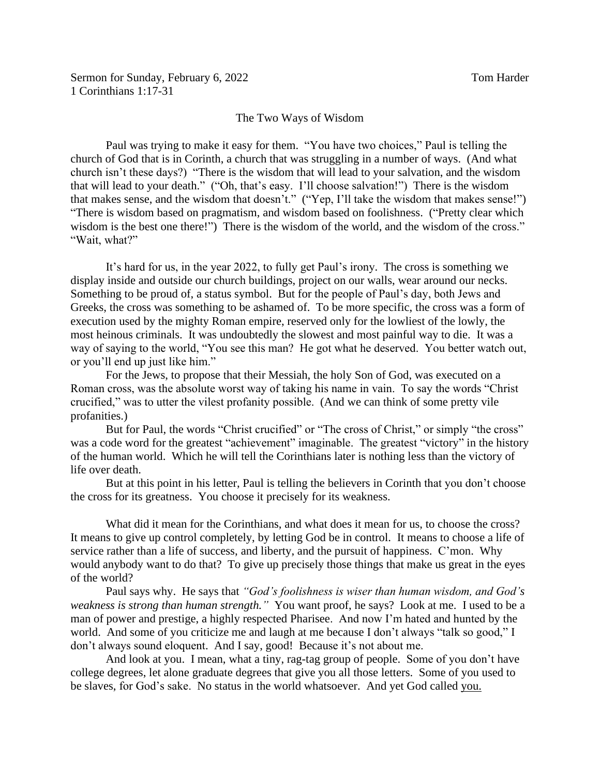## The Two Ways of Wisdom

Paul was trying to make it easy for them. "You have two choices," Paul is telling the church of God that is in Corinth, a church that was struggling in a number of ways. (And what church isn't these days?) "There is the wisdom that will lead to your salvation, and the wisdom that will lead to your death." ("Oh, that's easy. I'll choose salvation!") There is the wisdom that makes sense, and the wisdom that doesn't." ("Yep, I'll take the wisdom that makes sense!") "There is wisdom based on pragmatism, and wisdom based on foolishness. ("Pretty clear which wisdom is the best one there!") There is the wisdom of the world, and the wisdom of the cross." "Wait, what?"

It's hard for us, in the year 2022, to fully get Paul's irony. The cross is something we display inside and outside our church buildings, project on our walls, wear around our necks. Something to be proud of, a status symbol. But for the people of Paul's day, both Jews and Greeks, the cross was something to be ashamed of. To be more specific, the cross was a form of execution used by the mighty Roman empire, reserved only for the lowliest of the lowly, the most heinous criminals. It was undoubtedly the slowest and most painful way to die. It was a way of saying to the world, "You see this man? He got what he deserved. You better watch out, or you'll end up just like him."

For the Jews, to propose that their Messiah, the holy Son of God, was executed on a Roman cross, was the absolute worst way of taking his name in vain. To say the words "Christ crucified," was to utter the vilest profanity possible. (And we can think of some pretty vile profanities.)

But for Paul, the words "Christ crucified" or "The cross of Christ," or simply "the cross" was a code word for the greatest "achievement" imaginable. The greatest "victory" in the history of the human world. Which he will tell the Corinthians later is nothing less than the victory of life over death.

But at this point in his letter, Paul is telling the believers in Corinth that you don't choose the cross for its greatness. You choose it precisely for its weakness.

What did it mean for the Corinthians, and what does it mean for us, to choose the cross? It means to give up control completely, by letting God be in control. It means to choose a life of service rather than a life of success, and liberty, and the pursuit of happiness. C'mon. Why would anybody want to do that? To give up precisely those things that make us great in the eyes of the world?

Paul says why. He says that *"God's foolishness is wiser than human wisdom, and God's weakness is strong than human strength."* You want proof, he says? Look at me. I used to be a man of power and prestige, a highly respected Pharisee. And now I'm hated and hunted by the world. And some of you criticize me and laugh at me because I don't always "talk so good," I don't always sound eloquent. And I say, good! Because it's not about me.

And look at you. I mean, what a tiny, rag-tag group of people. Some of you don't have college degrees, let alone graduate degrees that give you all those letters. Some of you used to be slaves, for God's sake. No status in the world whatsoever. And yet God called you.